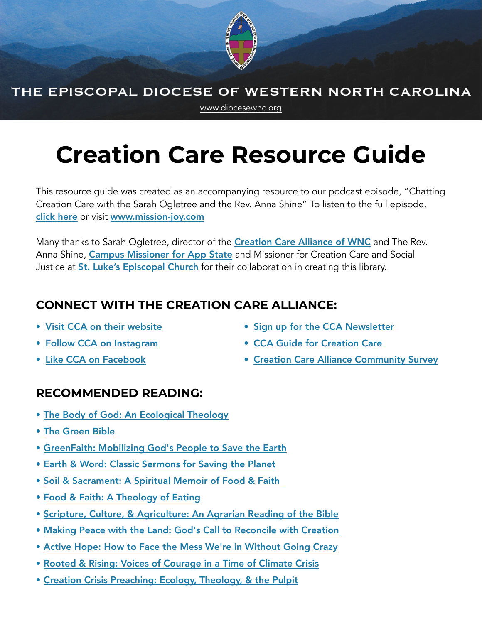

### THE EPISCOPAL DIOCESE OF WESTERN NORTH CAROLINA

[www.diocesewnc.org](http://www.diocesewnc.org)

# **Creation Care Resource Guide**

This resource guide was created as an accompanying resource to our podcast episode, "Chatting Creation Care with the Sarah Ogletree and the Rev. Anna Shine" To listen to the full episode, [click here](https://www.buzzsprout.com/1558430/9023935) or visit [www.mission-joy.com](http://www.mission-joy.com)

Many thanks to Sarah Ogletree, director of the [Creation Care Alliance of WNC](https://creationcarealliance.org/) and The Rev. Anna Shine, [Campus Missioner for App State](https://www.pecmboone.com/) and Missioner for Creation Care and Social Justice at [St. Luke's Episcopal Church](https://stlukesboone.org/) for their collaboration in creating this library.

#### **CONNECT WITH THE CREATION CARE ALLIANCE:**

- [Visit CCA on their website](https://creationcarealliance.org/)
- [Follow CCA on Instagram](https://www.instagram.com/creationcarealliance/)
- [Like CCA on Facebook](https://www.facebook.com/CreationCareAllianceWNC)
- [Sign up for the CCA Newsletter](https://secure.everyaction.com/HvaP_cU1Hk6od8xRKrmkiA2)
- [CCA Guide for Creation Care](https://creationcarealliance.org/toolkit/)
- [Creation Care Alliance Community Survey](https://forms.gle/9HRvbXwQnUwZu4eLA)

#### **RECOMMENDED READING:**

- [The Body of God: An Ecological Theology](https://www.amazon.com/Body-God-Ecological-Theology/dp/0800627350)
- [The Green Bible](https://www.amazon.com/Green-Bible-Zondervan/dp/0061951129)
- [GreenFaith: Mobilizing God's People to Save the Earth](https://www.cokesbury.com/GreenFaith)
- [Earth & Word: Classic Sermons for Saving the Planet](https://www.amazon.com/Earth-Word-Classic-Sermons-Saving/dp/B00AKR4IMO)
- [Soil & Sacrament: A Spiritual Memoir of Food & Faith](https://www.amazon.com/Soil-Sacrament-Spiritual-Memoir-Faith/dp/1451663307/ref=sr_1_1?crid=9DA9BL89HKRT&dchild=1&keywords=soil+and+sacrament&qid=1628632468&s=books&sprefix=soil+and+sac%2Cstripbooks%2C164&sr=1-1)
- [Food & Faith: A Theology of Eating](https://www.amazon.com/Food-Faith-Theology-Norman-Wirzba/dp/0521146240)
- [Scripture, Culture, & Agriculture: An Agrarian Reading of the Bible](https://www.amazon.com/Scripture-Culture-Agriculture-Agrarian-Reading/dp/0521732239)
- [Making Peace with the Land: God's Call to Reconcile with Creation](https://www.amazon.com/Making-Peace-Land-Reconcile-Reconciliation/dp/0830834575)
- [Active Hope: How to Face the Mess We're in Without Going Crazy](https://www.activehope.info/the-book)
- [Rooted & Rising: Voices of Courage in a Time of Climate Crisis](https://www.amazon.com/Rooted-Rising-Voices-Courage-Climate/dp/1538127768/ref=sr_1_1?dchild=1&keywords=Rooted+%26+Rising&qid=1628632588&s=books&sr=1-1)
- [Creation Crisis Preaching: Ecology, Theology, & the Pulpit](https://www.amazon.com/Creation-Crisis-Preaching-Ecology-Theology-Pulpit/dp/0827205414/ref=sr_1_1?dchild=1&keywords=Creation+Crisis+Preaching&qid=1628632619&s=books&sr=1-1)